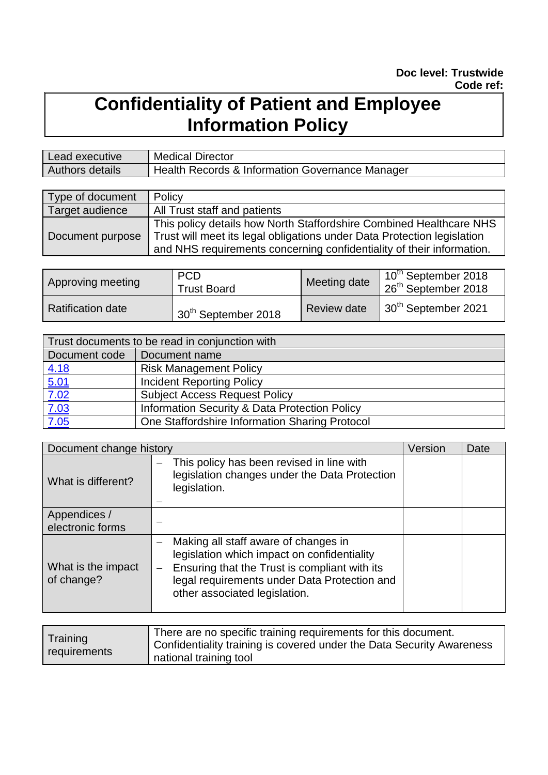# **Confidentiality of Patient and Employee Information Policy**

| Lead executive  | <b>Medical Director</b>                                    |
|-----------------|------------------------------------------------------------|
| Authors details | <b>Health Records &amp; Information Governance Manager</b> |

| Type of document | Policy                                                                  |  |
|------------------|-------------------------------------------------------------------------|--|
| Target audience  | All Trust staff and patients                                            |  |
|                  | This policy details how North Staffordshire Combined Healthcare NHS     |  |
| Document purpose | Trust will meet its legal obligations under Data Protection legislation |  |
|                  | and NHS requirements concerning confidentiality of their information.   |  |

| Approving meeting        | <b>PCD</b><br><b>Trust Board</b> | Meeting date       | 10 <sup>th</sup> September 2018<br>26 <sup>th</sup> September 2018 |
|--------------------------|----------------------------------|--------------------|--------------------------------------------------------------------|
| <b>Ratification date</b> | 30 <sup>th</sup> September 2018  | <b>Review date</b> | $\parallel$ 30 <sup>th</sup> September 2021                        |

| Trust documents to be read in conjunction with |                                                |  |  |
|------------------------------------------------|------------------------------------------------|--|--|
| Document code                                  | Document name                                  |  |  |
|                                                | <b>Risk Management Policy</b>                  |  |  |
| $\frac{4.18}{5.01}$                            | <b>Incident Reporting Policy</b>               |  |  |
| $\frac{7.02}{ }$                               | <b>Subject Access Request Policy</b>           |  |  |
|                                                | Information Security & Data Protection Policy  |  |  |
| $\frac{7.03}{7.05}$                            | One Staffordshire Information Sharing Protocol |  |  |

| Document change history          |                                                                                                                                                                                                                       | Version | Date |
|----------------------------------|-----------------------------------------------------------------------------------------------------------------------------------------------------------------------------------------------------------------------|---------|------|
| What is different?               | This policy has been revised in line with<br>legislation changes under the Data Protection<br>legislation.                                                                                                            |         |      |
| Appendices /<br>electronic forms |                                                                                                                                                                                                                       |         |      |
| What is the impact<br>of change? | Making all staff aware of changes in<br>legislation which impact on confidentiality<br>Ensuring that the Trust is compliant with its<br>legal requirements under Data Protection and<br>other associated legislation. |         |      |

| Training     | There are no specific training requirements for this document.        |
|--------------|-----------------------------------------------------------------------|
| requirements | Confidentiality training is covered under the Data Security Awareness |
|              | national training tool                                                |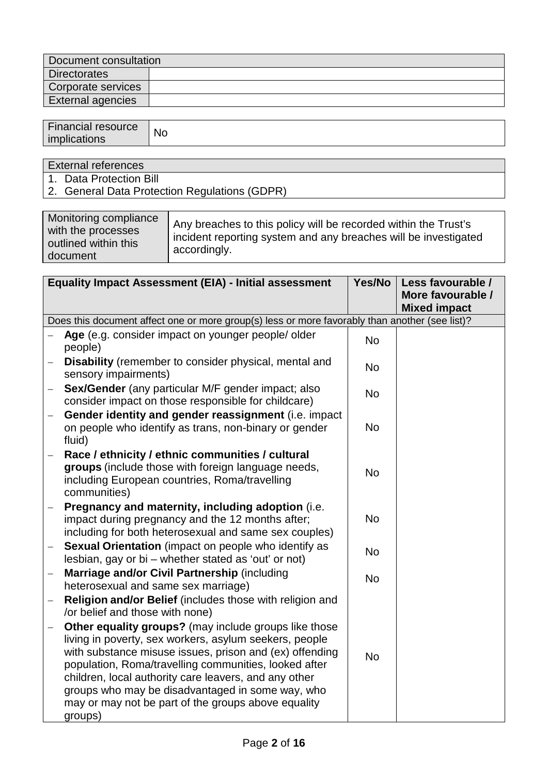| Document consultation |  |  |
|-----------------------|--|--|
| <b>Directorates</b>   |  |  |
| Corporate services    |  |  |
| External agencies     |  |  |

| <b>Financial resource</b><br>implications | <b>No</b> |
|-------------------------------------------|-----------|
|                                           |           |

## External references

- 1. Data Protection Bill
- 2. General Data Protection Regulations (GDPR)

| Monitoring compliance<br>with the processes<br>outlined within this<br>document | Any breaches to this policy will be recorded within the Trust's<br>incident reporting system and any breaches will be investigated<br>' accordingly. |
|---------------------------------------------------------------------------------|------------------------------------------------------------------------------------------------------------------------------------------------------|
|---------------------------------------------------------------------------------|------------------------------------------------------------------------------------------------------------------------------------------------------|

| <b>Equality Impact Assessment (EIA) - Initial assessment</b> |                                                                                                                                                                                                                                                                                                                                                                                                                    | Yes/No    | Less favourable /                        |  |  |
|--------------------------------------------------------------|--------------------------------------------------------------------------------------------------------------------------------------------------------------------------------------------------------------------------------------------------------------------------------------------------------------------------------------------------------------------------------------------------------------------|-----------|------------------------------------------|--|--|
|                                                              |                                                                                                                                                                                                                                                                                                                                                                                                                    |           | More favourable /<br><b>Mixed impact</b> |  |  |
|                                                              | Does this document affect one or more group(s) less or more favorably than another (see list)?                                                                                                                                                                                                                                                                                                                     |           |                                          |  |  |
|                                                              | Age (e.g. consider impact on younger people/ older<br>people)                                                                                                                                                                                                                                                                                                                                                      | <b>No</b> |                                          |  |  |
| $\qquad \qquad -$                                            | Disability (remember to consider physical, mental and<br>sensory impairments)                                                                                                                                                                                                                                                                                                                                      | <b>No</b> |                                          |  |  |
|                                                              | Sex/Gender (any particular M/F gender impact; also<br>consider impact on those responsible for childcare)                                                                                                                                                                                                                                                                                                          | <b>No</b> |                                          |  |  |
| $\overline{\phantom{0}}$                                     | Gender identity and gender reassignment (i.e. impact<br>on people who identify as trans, non-binary or gender<br>fluid)                                                                                                                                                                                                                                                                                            | No        |                                          |  |  |
| $\qquad \qquad -$                                            | Race / ethnicity / ethnic communities / cultural<br>groups (include those with foreign language needs,<br>including European countries, Roma/travelling<br>communities)                                                                                                                                                                                                                                            | <b>No</b> |                                          |  |  |
|                                                              | Pregnancy and maternity, including adoption (i.e.<br>impact during pregnancy and the 12 months after;<br>including for both heterosexual and same sex couples)                                                                                                                                                                                                                                                     | <b>No</b> |                                          |  |  |
| $\qquad \qquad -$                                            | Sexual Orientation (impact on people who identify as<br>lesbian, gay or bi – whether stated as 'out' or not)                                                                                                                                                                                                                                                                                                       | <b>No</b> |                                          |  |  |
| $\overline{\phantom{0}}$                                     | Marriage and/or Civil Partnership (including<br>heterosexual and same sex marriage)                                                                                                                                                                                                                                                                                                                                | <b>No</b> |                                          |  |  |
|                                                              | <b>Religion and/or Belief</b> (includes those with religion and<br>/or belief and those with none)                                                                                                                                                                                                                                                                                                                 |           |                                          |  |  |
|                                                              | Other equality groups? (may include groups like those<br>living in poverty, sex workers, asylum seekers, people<br>with substance misuse issues, prison and (ex) offending<br>population, Roma/travelling communities, looked after<br>children, local authority care leavers, and any other<br>groups who may be disadvantaged in some way, who<br>may or may not be part of the groups above equality<br>groups) | <b>No</b> |                                          |  |  |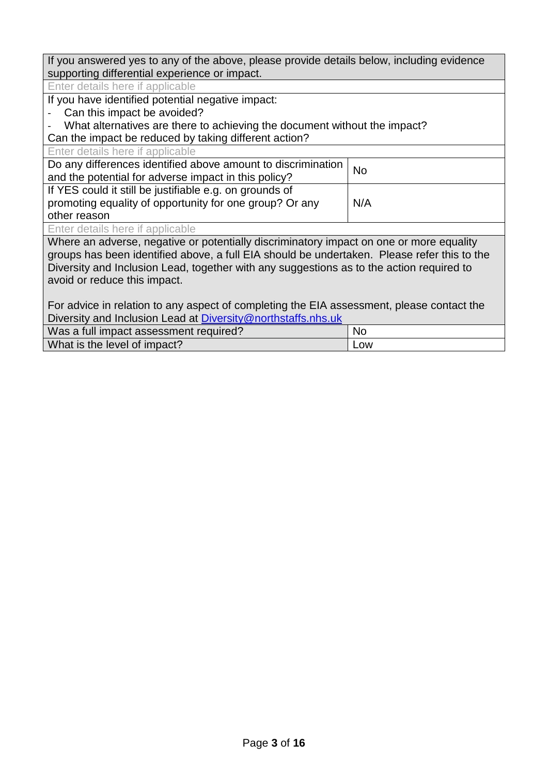If you answered yes to any of the above, please provide details below, including evidence supporting differential experience or impact.

Enter details here if applicable

If you have identified potential negative impact:

- Can this impact be avoided?

What alternatives are there to achieving the document without the impact?

Can the impact be reduced by taking different action?

| Enter details here if applicable                                                            |     |  |
|---------------------------------------------------------------------------------------------|-----|--|
| Do any differences identified above amount to discrimination<br><b>No</b>                   |     |  |
| and the potential for adverse impact in this policy?                                        |     |  |
| If YES could it still be justifiable e.g. on grounds of                                     |     |  |
| promoting equality of opportunity for one group? Or any                                     | N/A |  |
| other reason                                                                                |     |  |
| Enter details here if applicable                                                            |     |  |
| Where an adverse, negative or potentially discriminatory impact on one or more equality     |     |  |
| groups has been identified above, a full EIA should be undertaken. Please refer this to the |     |  |
| Diversity and Inclusion Lead, together with any suggestions as to the action required to    |     |  |

avoid or reduce this impact.

For advice in relation to any aspect of completing the EIA assessment, please contact the Diversity and Inclusion Lead at [Diversity@northstaffs.nhs.uk](mailto:Diversity@northstaffs.nhs.uk)

| Was a full impact assessment required? | Nc.        |  |
|----------------------------------------|------------|--|
| What is the level of impact?           | <b>LOW</b> |  |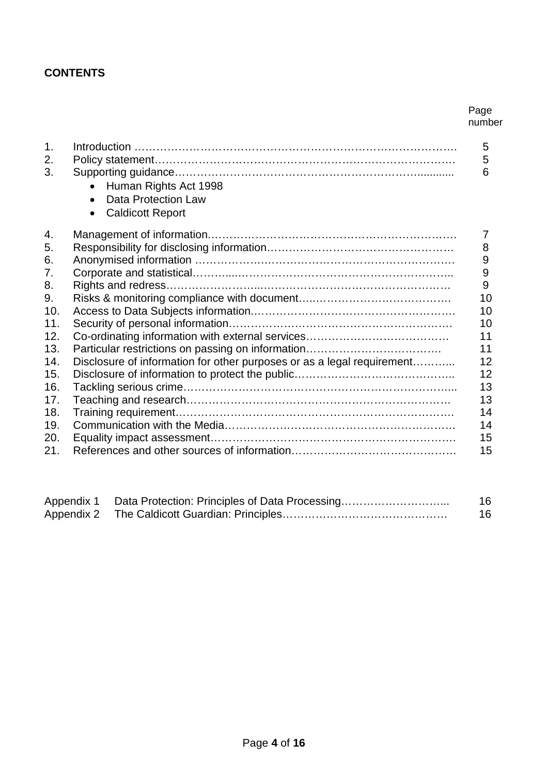## **CONTENTS**

#### Page number

| 1.<br>2.<br>3. | Human Rights Act 1998<br><b>Data Protection Law</b><br>$\bullet$<br><b>Caldicott Report</b><br>$\bullet$ | 5<br>5<br>6      |
|----------------|----------------------------------------------------------------------------------------------------------|------------------|
| 4.             |                                                                                                          | $\overline{7}$   |
| 5.             |                                                                                                          | 8<br>9           |
| 6.<br>7.       |                                                                                                          | $\boldsymbol{9}$ |
| 8.             |                                                                                                          | 9                |
| 9.             |                                                                                                          | 10               |
| 10.            |                                                                                                          | 10               |
| 11.            |                                                                                                          | 10               |
| 12.            |                                                                                                          | 11               |
| 13.            |                                                                                                          | 11               |
| 14.            | Disclosure of information for other purposes or as a legal requirement                                   | 12               |
| 15.            |                                                                                                          | 12               |
| 16.            |                                                                                                          | 13               |
| 17.            |                                                                                                          | 13               |
| 18.            |                                                                                                          | 14               |
| 19.            |                                                                                                          | 14               |
| 20.            |                                                                                                          | 15               |
| 21.            |                                                                                                          | 15               |
|                |                                                                                                          |                  |

| Appendix 1 | Data Protection: Principles of Data Processing | 16 |
|------------|------------------------------------------------|----|
|            |                                                | 16 |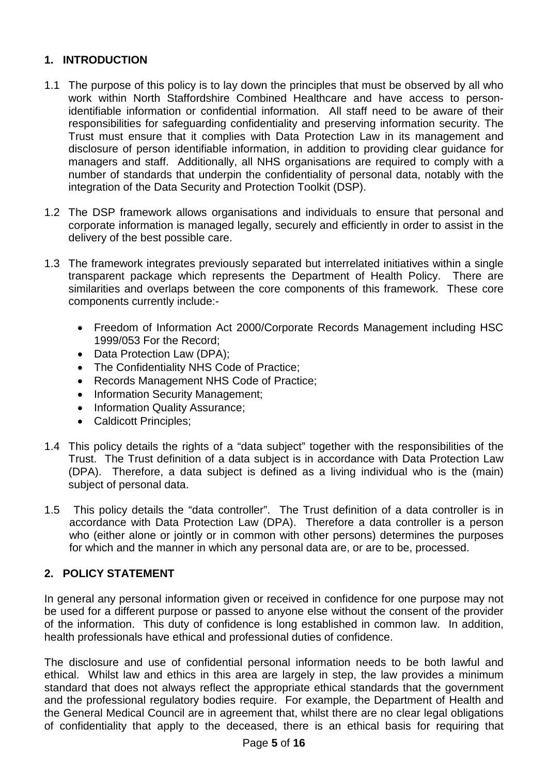## **1. INTRODUCTION**

- 1.1 The purpose of this policy is to lay down the principles that must be observed by all who work within North Staffordshire Combined Healthcare and have access to personidentifiable information or confidential information. All staff need to be aware of their responsibilities for safeguarding confidentiality and preserving information security. The Trust must ensure that it complies with Data Protection Law in its management and disclosure of person identifiable information, in addition to providing clear guidance for managers and staff. Additionally, all NHS organisations are required to comply with a number of standards that underpin the confidentiality of personal data, notably with the integration of the Data Security and Protection Toolkit (DSP).
- 1.2 The DSP framework allows organisations and individuals to ensure that personal and corporate information is managed legally, securely and efficiently in order to assist in the delivery of the best possible care.
- 1.3 The framework integrates previously separated but interrelated initiatives within a single transparent package which represents the Department of Health Policy. There are similarities and overlaps between the core components of this framework. These core components currently include:-
	- Freedom of Information Act 2000/Corporate Records Management including HSC 1999/053 For the Record;
	- Data Protection Law (DPA);
	- The Confidentiality NHS Code of Practice;
	- Records Management NHS Code of Practice;
	- Information Security Management;
	- Information Quality Assurance;
	- Caldicott Principles;
- 1.4 This policy details the rights of a "data subject" together with the responsibilities of the Trust. The Trust definition of a data subject is in accordance with Data Protection Law (DPA). Therefore, a data subject is defined as a living individual who is the (main) subject of personal data.
- 1.5 This policy details the "data controller". The Trust definition of a data controller is in accordance with Data Protection Law (DPA). Therefore a data controller is a person who (either alone or jointly or in common with other persons) determines the purposes for which and the manner in which any personal data are, or are to be, processed.

## **2. POLICY STATEMENT**

In general any personal information given or received in confidence for one purpose may not be used for a different purpose or passed to anyone else without the consent of the provider of the information. This duty of confidence is long established in common law. In addition, health professionals have ethical and professional duties of confidence.

The disclosure and use of confidential personal information needs to be both lawful and ethical. Whilst law and ethics in this area are largely in step, the law provides a minimum standard that does not always reflect the appropriate ethical standards that the government and the professional regulatory bodies require. For example, the Department of Health and the General Medical Council are in agreement that, whilst there are no clear legal obligations of confidentiality that apply to the deceased, there is an ethical basis for requiring that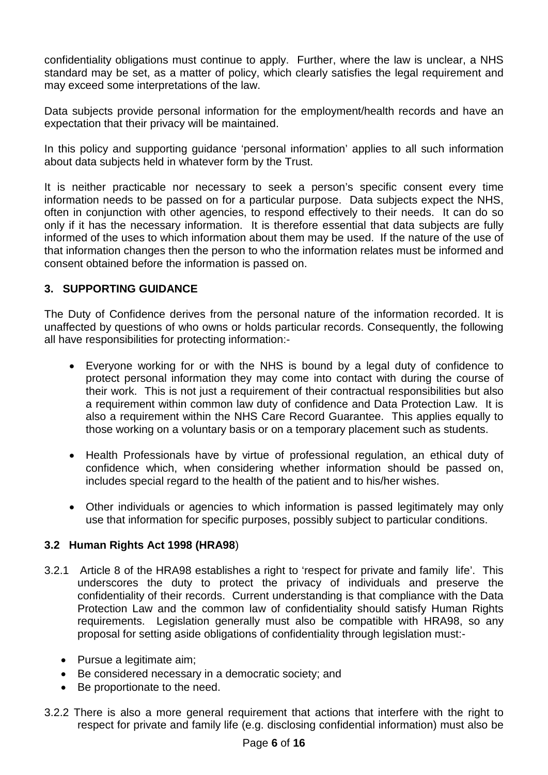confidentiality obligations must continue to apply. Further, where the law is unclear, a NHS standard may be set, as a matter of policy, which clearly satisfies the legal requirement and may exceed some interpretations of the law.

Data subjects provide personal information for the employment/health records and have an expectation that their privacy will be maintained.

In this policy and supporting guidance 'personal information' applies to all such information about data subjects held in whatever form by the Trust.

It is neither practicable nor necessary to seek a person's specific consent every time information needs to be passed on for a particular purpose. Data subjects expect the NHS, often in conjunction with other agencies, to respond effectively to their needs. It can do so only if it has the necessary information. It is therefore essential that data subjects are fully informed of the uses to which information about them may be used. If the nature of the use of that information changes then the person to who the information relates must be informed and consent obtained before the information is passed on.

## **3. SUPPORTING GUIDANCE**

The Duty of Confidence derives from the personal nature of the information recorded. It is unaffected by questions of who owns or holds particular records. Consequently, the following all have responsibilities for protecting information:-

- Everyone working for or with the NHS is bound by a legal duty of confidence to protect personal information they may come into contact with during the course of their work. This is not just a requirement of their contractual responsibilities but also a requirement within common law duty of confidence and Data Protection Law. It is also a requirement within the NHS Care Record Guarantee. This applies equally to those working on a voluntary basis or on a temporary placement such as students.
- Health Professionals have by virtue of professional regulation, an ethical duty of confidence which, when considering whether information should be passed on, includes special regard to the health of the patient and to his/her wishes.
- Other individuals or agencies to which information is passed legitimately may only use that information for specific purposes, possibly subject to particular conditions.

## **3.2 Human Rights Act 1998 (HRA98**)

- 3.2.1 Article 8 of the HRA98 establishes a right to 'respect for private and family life'. This underscores the duty to protect the privacy of individuals and preserve the confidentiality of their records. Current understanding is that compliance with the Data Protection Law and the common law of confidentiality should satisfy Human Rights requirements. Legislation generally must also be compatible with HRA98, so any proposal for setting aside obligations of confidentiality through legislation must:-
	- Pursue a legitimate aim;
	- Be considered necessary in a democratic society; and
	- Be proportionate to the need.
- 3.2.2 There is also a more general requirement that actions that interfere with the right to respect for private and family life (e.g. disclosing confidential information) must also be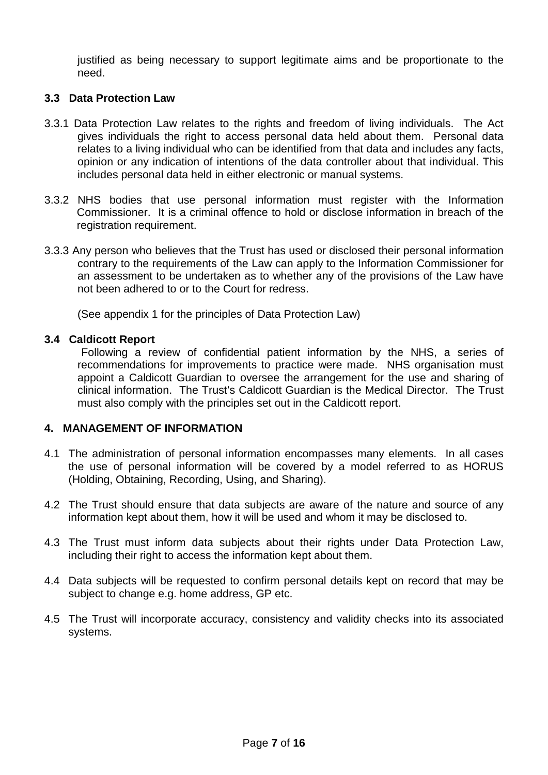justified as being necessary to support legitimate aims and be proportionate to the need.

#### **3.3 Data Protection Law**

- 3.3.1 Data Protection Law relates to the rights and freedom of living individuals. The Act gives individuals the right to access personal data held about them. Personal data relates to a living individual who can be identified from that data and includes any facts, opinion or any indication of intentions of the data controller about that individual. This includes personal data held in either electronic or manual systems.
- 3.3.2 NHS bodies that use personal information must register with the Information Commissioner. It is a criminal offence to hold or disclose information in breach of the registration requirement.
- 3.3.3 Any person who believes that the Trust has used or disclosed their personal information contrary to the requirements of the Law can apply to the Information Commissioner for an assessment to be undertaken as to whether any of the provisions of the Law have not been adhered to or to the Court for redress.

(See appendix 1 for the principles of Data Protection Law)

#### **3.4 Caldicott Report**

Following a review of confidential patient information by the NHS, a series of recommendations for improvements to practice were made. NHS organisation must appoint a Caldicott Guardian to oversee the arrangement for the use and sharing of clinical information. The Trust's Caldicott Guardian is the Medical Director. The Trust must also comply with the principles set out in the Caldicott report.

#### **4. MANAGEMENT OF INFORMATION**

- 4.1 The administration of personal information encompasses many elements. In all cases the use of personal information will be covered by a model referred to as HORUS (Holding, Obtaining, Recording, Using, and Sharing).
- 4.2 The Trust should ensure that data subjects are aware of the nature and source of any information kept about them, how it will be used and whom it may be disclosed to.
- 4.3 The Trust must inform data subjects about their rights under Data Protection Law, including their right to access the information kept about them.
- 4.4 Data subjects will be requested to confirm personal details kept on record that may be subject to change e.g. home address, GP etc.
- 4.5 The Trust will incorporate accuracy, consistency and validity checks into its associated systems.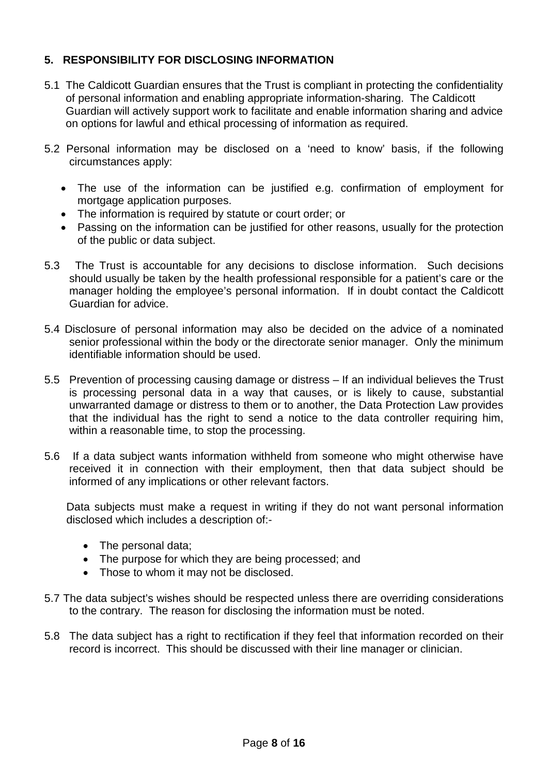## **5. RESPONSIBILITY FOR DISCLOSING INFORMATION**

- 5.1 The Caldicott Guardian ensures that the Trust is compliant in protecting the confidentiality of personal information and enabling appropriate information-sharing. The Caldicott Guardian will actively support work to facilitate and enable information sharing and advice on options for lawful and ethical processing of information as required.
- 5.2 Personal information may be disclosed on a 'need to know' basis, if the following circumstances apply:
	- The use of the information can be justified e.g. confirmation of employment for mortgage application purposes.
	- The information is required by statute or court order; or
	- Passing on the information can be justified for other reasons, usually for the protection of the public or data subject.
- 5.3 The Trust is accountable for any decisions to disclose information. Such decisions should usually be taken by the health professional responsible for a patient's care or the manager holding the employee's personal information. If in doubt contact the Caldicott Guardian for advice.
- 5.4 Disclosure of personal information may also be decided on the advice of a nominated senior professional within the body or the directorate senior manager. Only the minimum identifiable information should be used.
- 5.5 Prevention of processing causing damage or distress If an individual believes the Trust is processing personal data in a way that causes, or is likely to cause, substantial unwarranted damage or distress to them or to another, the Data Protection Law provides that the individual has the right to send a notice to the data controller requiring him, within a reasonable time, to stop the processing.
- 5.6 If a data subject wants information withheld from someone who might otherwise have received it in connection with their employment, then that data subject should be informed of any implications or other relevant factors.

Data subjects must make a request in writing if they do not want personal information disclosed which includes a description of:-

- The personal data;
- The purpose for which they are being processed; and
- Those to whom it may not be disclosed.
- 5.7 The data subject's wishes should be respected unless there are overriding considerations to the contrary. The reason for disclosing the information must be noted.
- 5.8 The data subject has a right to rectification if they feel that information recorded on their record is incorrect. This should be discussed with their line manager or clinician.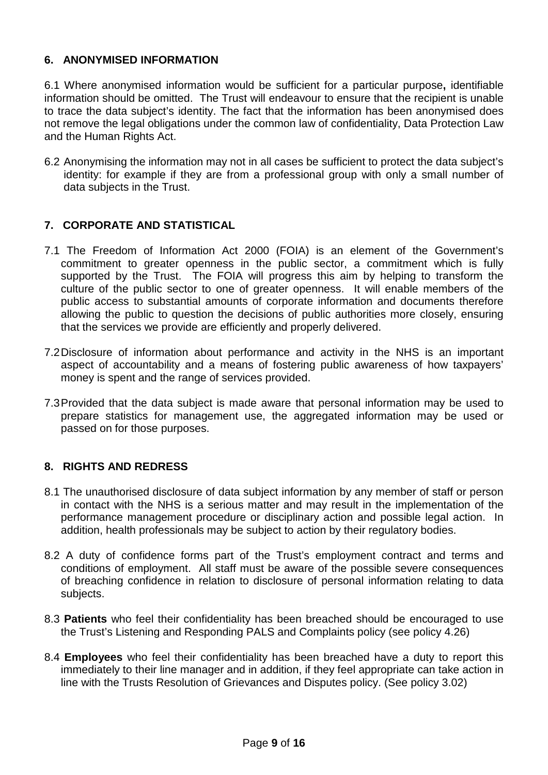## **6. ANONYMISED INFORMATION**

6.1 Where anonymised information would be sufficient for a particular purpose**,** identifiable information should be omitted. The Trust will endeavour to ensure that the recipient is unable to trace the data subject's identity. The fact that the information has been anonymised does not remove the legal obligations under the common law of confidentiality, Data Protection Law and the Human Rights Act.

6.2 Anonymising the information may not in all cases be sufficient to protect the data subject's identity: for example if they are from a professional group with only a small number of data subjects in the Trust.

## **7. CORPORATE AND STATISTICAL**

- 7.1 The Freedom of Information Act 2000 (FOIA) is an element of the Government's commitment to greater openness in the public sector, a commitment which is fully supported by the Trust. The FOIA will progress this aim by helping to transform the culture of the public sector to one of greater openness. It will enable members of the public access to substantial amounts of corporate information and documents therefore allowing the public to question the decisions of public authorities more closely, ensuring that the services we provide are efficiently and properly delivered.
- 7.2Disclosure of information about performance and activity in the NHS is an important aspect of accountability and a means of fostering public awareness of how taxpayers' money is spent and the range of services provided.
- 7.3Provided that the data subject is made aware that personal information may be used to prepare statistics for management use, the aggregated information may be used or passed on for those purposes.

## **8. RIGHTS AND REDRESS**

- 8.1 The unauthorised disclosure of data subject information by any member of staff or person in contact with the NHS is a serious matter and may result in the implementation of the performance management procedure or disciplinary action and possible legal action. In addition, health professionals may be subject to action by their regulatory bodies.
- 8.2 A duty of confidence forms part of the Trust's employment contract and terms and conditions of employment. All staff must be aware of the possible severe consequences of breaching confidence in relation to disclosure of personal information relating to data subjects.
- 8.3 **Patients** who feel their confidentiality has been breached should be encouraged to use the Trust's Listening and Responding PALS and Complaints policy (see policy 4.26)
- 8.4 **Employees** who feel their confidentiality has been breached have a duty to report this immediately to their line manager and in addition, if they feel appropriate can take action in line with the Trusts Resolution of Grievances and Disputes policy. (See policy 3.02)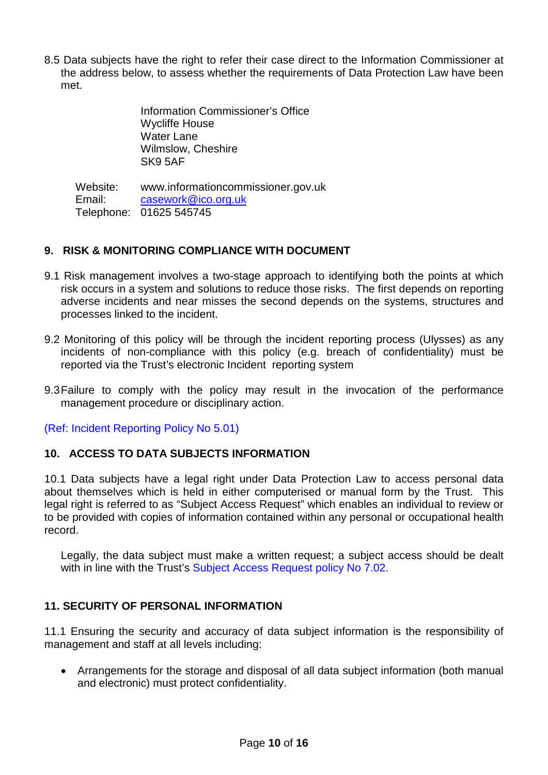8.5 Data subjects have the right to refer their case direct to the Information Commissioner at the address below, to assess whether the requirements of Data Protection Law have been met.

> Information Commissioner's Office Wycliffe House Water Lane Wilmslow, Cheshire SK9 5AF

Website: www.informationcommissioner.gov.uk Email: Telephone: 01625 545745 [casework@ico.org.uk](mailto:Mail@ico.gsi.gov.uk)

#### **9. RISK & MONITORING COMPLIANCE WITH DOCUMENT**

- 9.1 Risk management involves a two-stage approach to identifying both the points at which risk occurs in a system and solutions to reduce those risks. The first depends on reporting adverse incidents and near misses the second depends on the systems, structures and processes linked to the incident.
- 9.2 Monitoring of this policy will be through the incident reporting process (Ulysses) as any incidents of non-compliance with this policy (e.g. breach of confidentiality) must be reported via the Trust's electronic Incident reporting system
- 9.3Failure to comply with the policy may result in the invocation of the performance management procedure or disciplinary action.

(Ref: Incident Reporting Policy No 5.01)

#### **10. ACCESS TO DATA SUBJECTS INFORMATION**

10.1 Data subjects have a legal right under Data Protection Law to access personal data about themselves which is held in either computerised or manual form by the Trust. This legal right is referred to as "Subject Access Request" which enables an individual to review or to be provided with copies of information contained within any personal or occupational health record.

Legally, the data subject must make a written request; a subject access should be dealt with in line with the Trust's Subject Access Request policy No 7.02.

## **11. SECURITY OF PERSONAL INFORMATION**

11.1 Ensuring the security and accuracy of data subject information is the responsibility of management and staff at all levels including:

• Arrangements for the storage and disposal of all data subject information (both manual and electronic) must protect confidentiality.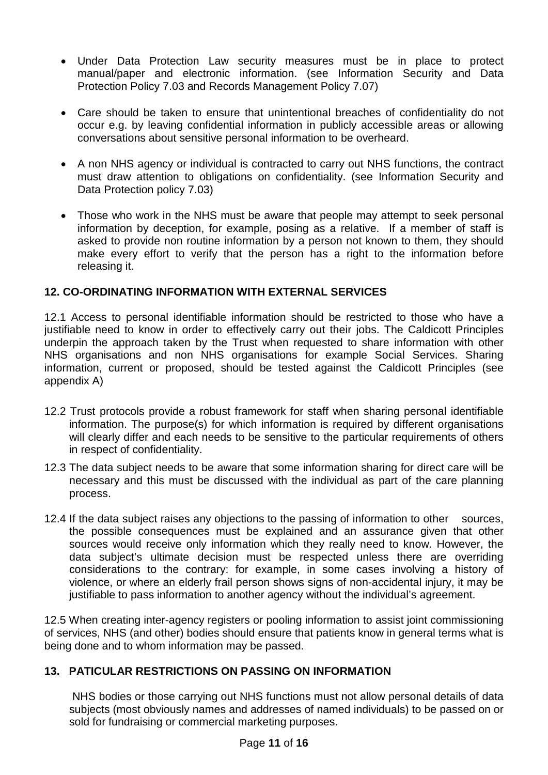- Under Data Protection Law security measures must be in place to protect manual/paper and electronic information. (see Information Security and Data Protection Policy 7.03 and Records Management Policy 7.07)
- Care should be taken to ensure that unintentional breaches of confidentiality do not occur e.g. by leaving confidential information in publicly accessible areas or allowing conversations about sensitive personal information to be overheard.
- A non NHS agency or individual is contracted to carry out NHS functions, the contract must draw attention to obligations on confidentiality. (see Information Security and Data Protection policy 7.03)
- Those who work in the NHS must be aware that people may attempt to seek personal information by deception, for example, posing as a relative. If a member of staff is asked to provide non routine information by a person not known to them, they should make every effort to verify that the person has a right to the information before releasing it.

## **12. CO-ORDINATING INFORMATION WITH EXTERNAL SERVICES**

12.1 Access to personal identifiable information should be restricted to those who have a justifiable need to know in order to effectively carry out their jobs. The Caldicott Principles underpin the approach taken by the Trust when requested to share information with other NHS organisations and non NHS organisations for example Social Services. Sharing information, current or proposed, should be tested against the Caldicott Principles (see appendix A)

- 12.2 Trust protocols provide a robust framework for staff when sharing personal identifiable information. The purpose(s) for which information is required by different organisations will clearly differ and each needs to be sensitive to the particular requirements of others in respect of confidentiality.
- 12.3 The data subject needs to be aware that some information sharing for direct care will be necessary and this must be discussed with the individual as part of the care planning process.
- 12.4 If the data subject raises any objections to the passing of information to other sources, the possible consequences must be explained and an assurance given that other sources would receive only information which they really need to know. However, the data subject's ultimate decision must be respected unless there are overriding considerations to the contrary: for example, in some cases involving a history of violence, or where an elderly frail person shows signs of non-accidental injury, it may be justifiable to pass information to another agency without the individual's agreement.

12.5 When creating inter-agency registers or pooling information to assist joint commissioning of services, NHS (and other) bodies should ensure that patients know in general terms what is being done and to whom information may be passed.

## **13. PATICULAR RESTRICTIONS ON PASSING ON INFORMATION**

NHS bodies or those carrying out NHS functions must not allow personal details of data subjects (most obviously names and addresses of named individuals) to be passed on or sold for fundraising or commercial marketing purposes.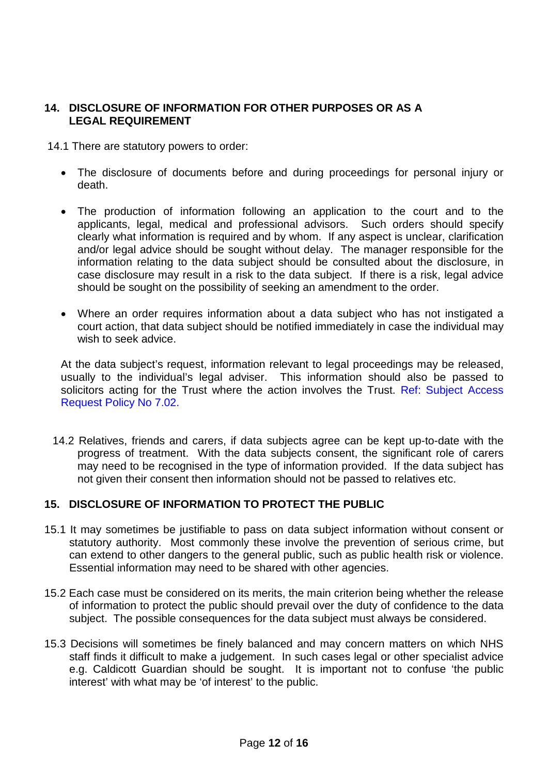## **14. DISCLOSURE OF INFORMATION FOR OTHER PURPOSES OR AS A LEGAL REQUIREMENT**

14.1 There are statutory powers to order:

- The disclosure of documents before and during proceedings for personal injury or death.
- The production of information following an application to the court and to the applicants, legal, medical and professional advisors. Such orders should specify clearly what information is required and by whom. If any aspect is unclear, clarification and/or legal advice should be sought without delay. The manager responsible for the information relating to the data subject should be consulted about the disclosure, in case disclosure may result in a risk to the data subject. If there is a risk, legal advice should be sought on the possibility of seeking an amendment to the order.
- Where an order requires information about a data subject who has not instigated a court action, that data subject should be notified immediately in case the individual may wish to seek advice.

At the data subject's request, information relevant to legal proceedings may be released, usually to the individual's legal adviser. This information should also be passed to solicitors acting for the Trust where the action involves the Trust. Ref: Subject Access Request Policy No 7.02.

14.2 Relatives, friends and carers, if data subjects agree can be kept up-to-date with the progress of treatment. With the data subjects consent, the significant role of carers may need to be recognised in the type of information provided. If the data subject has not given their consent then information should not be passed to relatives etc.

## **15. DISCLOSURE OF INFORMATION TO PROTECT THE PUBLIC**

- 15.1 It may sometimes be justifiable to pass on data subject information without consent or statutory authority. Most commonly these involve the prevention of serious crime, but can extend to other dangers to the general public, such as public health risk or violence. Essential information may need to be shared with other agencies.
- 15.2 Each case must be considered on its merits, the main criterion being whether the release of information to protect the public should prevail over the duty of confidence to the data subject. The possible consequences for the data subject must always be considered.
- 15.3 Decisions will sometimes be finely balanced and may concern matters on which NHS staff finds it difficult to make a judgement. In such cases legal or other specialist advice e.g. Caldicott Guardian should be sought. It is important not to confuse 'the public interest' with what may be 'of interest' to the public.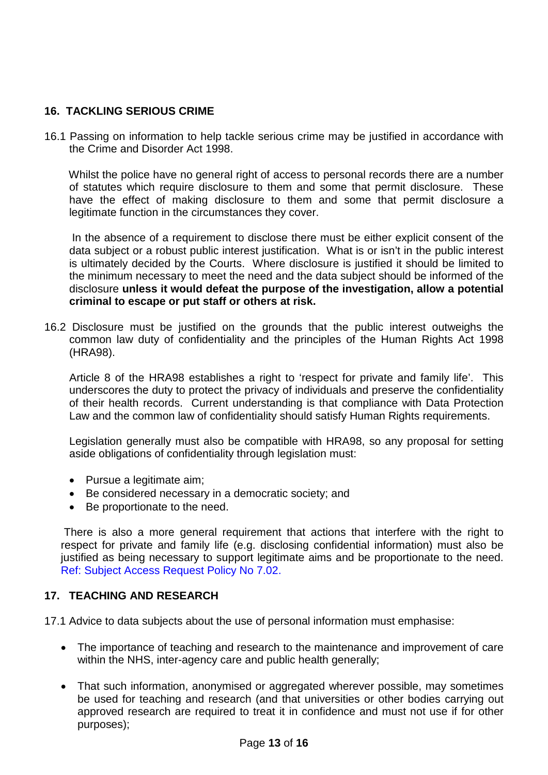## **16. TACKLING SERIOUS CRIME**

16.1 Passing on information to help tackle serious crime may be justified in accordance with the Crime and Disorder Act 1998.

 Whilst the police have no general right of access to personal records there are a number of statutes which require disclosure to them and some that permit disclosure. These have the effect of making disclosure to them and some that permit disclosure a legitimate function in the circumstances they cover.

 In the absence of a requirement to disclose there must be either explicit consent of the data subject or a robust public interest justification. What is or isn't in the public interest is ultimately decided by the Courts. Where disclosure is justified it should be limited to the minimum necessary to meet the need and the data subject should be informed of the disclosure **unless it would defeat the purpose of the investigation, allow a potential criminal to escape or put staff or others at risk.**

16.2 Disclosure must be justified on the grounds that the public interest outweighs the common law duty of confidentiality and the principles of the Human Rights Act 1998 (HRA98).

Article 8 of the HRA98 establishes a right to 'respect for private and family life'. This underscores the duty to protect the privacy of individuals and preserve the confidentiality of their health records. Current understanding is that compliance with Data Protection Law and the common law of confidentiality should satisfy Human Rights requirements.

Legislation generally must also be compatible with HRA98, so any proposal for setting aside obligations of confidentiality through legislation must:

- Pursue a legitimate aim;
- Be considered necessary in a democratic society; and
- Be proportionate to the need.

There is also a more general requirement that actions that interfere with the right to respect for private and family life (e.g. disclosing confidential information) must also be justified as being necessary to support legitimate aims and be proportionate to the need. Ref: Subject Access Request Policy No 7.02.

## **17. TEACHING AND RESEARCH**

17.1 Advice to data subjects about the use of personal information must emphasise:

- The importance of teaching and research to the maintenance and improvement of care within the NHS, inter-agency care and public health generally;
- That such information, anonymised or aggregated wherever possible, may sometimes be used for teaching and research (and that universities or other bodies carrying out approved research are required to treat it in confidence and must not use if for other purposes);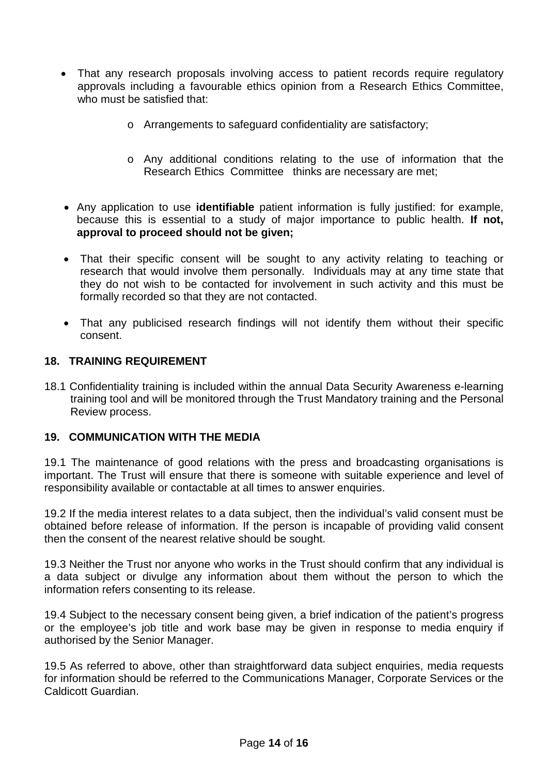- That any research proposals involving access to patient records require regulatory approvals including a favourable ethics opinion from a Research Ethics Committee, who must be satisfied that:
	- o Arrangements to safeguard confidentiality are satisfactory;
	- o Any additional conditions relating to the use of information that the Research Ethics Committee thinks are necessary are met;
- Any application to use **identifiable** patient information is fully justified: for example, because this is essential to a study of major importance to public health. **If not, approval to proceed should not be given;**
- That their specific consent will be sought to any activity relating to teaching or research that would involve them personally. Individuals may at any time state that they do not wish to be contacted for involvement in such activity and this must be formally recorded so that they are not contacted.
- That any publicised research findings will not identify them without their specific consent.

#### **18. TRAINING REQUIREMENT**

18.1 Confidentiality training is included within the annual Data Security Awareness e-learning training tool and will be monitored through the Trust Mandatory training and the Personal Review process.

#### **19. COMMUNICATION WITH THE MEDIA**

19.1 The maintenance of good relations with the press and broadcasting organisations is important. The Trust will ensure that there is someone with suitable experience and level of responsibility available or contactable at all times to answer enquiries.

19.2 If the media interest relates to a data subject, then the individual's valid consent must be obtained before release of information. If the person is incapable of providing valid consent then the consent of the nearest relative should be sought.

19.3 Neither the Trust nor anyone who works in the Trust should confirm that any individual is a data subject or divulge any information about them without the person to which the information refers consenting to its release.

19.4 Subject to the necessary consent being given, a brief indication of the patient's progress or the employee's job title and work base may be given in response to media enquiry if authorised by the Senior Manager.

19.5 As referred to above, other than straightforward data subject enquiries, media requests for information should be referred to the Communications Manager, Corporate Services or the Caldicott Guardian.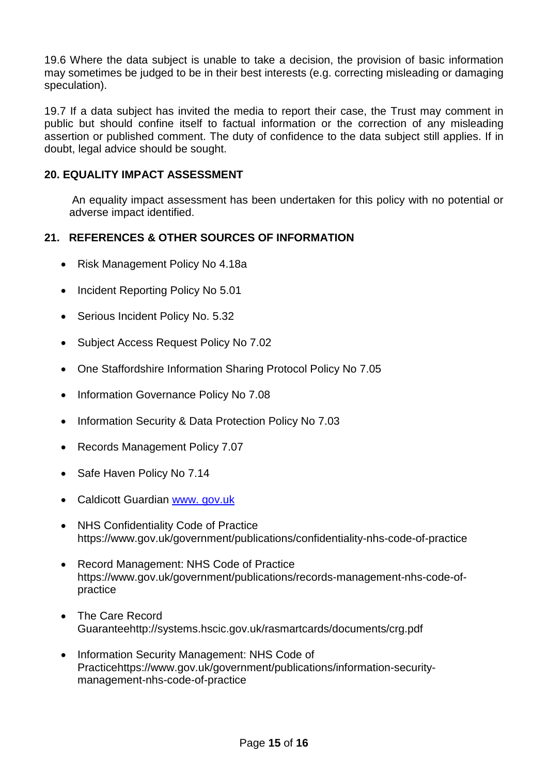19.6 Where the data subject is unable to take a decision, the provision of basic information may sometimes be judged to be in their best interests (e.g. correcting misleading or damaging speculation).

19.7 If a data subject has invited the media to report their case, the Trust may comment in public but should confine itself to factual information or the correction of any misleading assertion or published comment. The duty of confidence to the data subject still applies. If in doubt, legal advice should be sought.

#### **20. EQUALITY IMPACT ASSESSMENT**

An equality impact assessment has been undertaken for this policy with no potential or adverse impact identified.

#### **21. REFERENCES & OTHER SOURCES OF INFORMATION**

- Risk Management Policy No 4.18a
- Incident Reporting Policy No 5.01
- Serious Incident Policy No. 5.32
- Subject Access Request Policy No 7.02
- One Staffordshire Information Sharing Protocol Policy No 7.05
- Information Governance Policy No 7.08
- Information Security & Data Protection Policy No 7.03
- Records Management Policy 7.07
- Safe Haven Policy No 7.14
- Caldicott Guardian www. [gov.uk](http://www.doh.gov.uk/)
- NHS Confidentiality Code of Practice https://www.gov.uk/government/publications/confidentiality-nhs-code-of-practice
- Record Management: NHS Code of Practice https://www.gov.uk/government/publications/records-management-nhs-code-ofpractice
- The Care Record Guaranteehttp://systems.hscic.gov.uk/rasmartcards/documents/crg.pdf
- Information Security Management: NHS Code of Practicehttps://www.gov.uk/government/publications/information-securitymanagement-nhs-code-of-practice